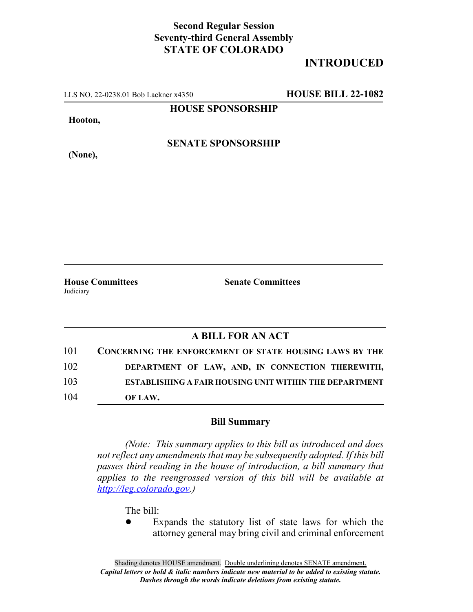## **Second Regular Session Seventy-third General Assembly STATE OF COLORADO**

## **INTRODUCED**

LLS NO. 22-0238.01 Bob Lackner x4350 **HOUSE BILL 22-1082**

**HOUSE SPONSORSHIP**

**Hooton,**

**(None),**

**SENATE SPONSORSHIP**

**House Committees Senate Committees** Judiciary

## **A BILL FOR AN ACT**

| 101 | <b>CONCERNING THE ENFORCEMENT OF STATE HOUSING LAWS BY THE</b> |
|-----|----------------------------------------------------------------|
| 102 | DEPARTMENT OF LAW, AND, IN CONNECTION THEREWITH,               |
| 103 | <b>ESTABLISHING A FAIR HOUSING UNIT WITHIN THE DEPARTMENT</b>  |
| 104 | OF LAW.                                                        |

## **Bill Summary**

*(Note: This summary applies to this bill as introduced and does not reflect any amendments that may be subsequently adopted. If this bill passes third reading in the house of introduction, a bill summary that applies to the reengrossed version of this bill will be available at http://leg.colorado.gov.)*

The bill:

Expands the statutory list of state laws for which the attorney general may bring civil and criminal enforcement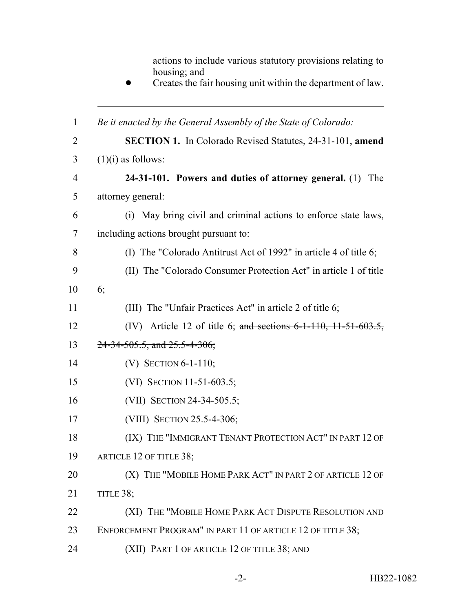actions to include various statutory provisions relating to housing; and

**•** Creates the fair housing unit within the department of law.

| $\mathbf{1}$   | Be it enacted by the General Assembly of the State of Colorado:      |
|----------------|----------------------------------------------------------------------|
| $\overline{2}$ | <b>SECTION 1.</b> In Colorado Revised Statutes, 24-31-101, amend     |
| 3              | $(1)(i)$ as follows:                                                 |
| 4              | 24-31-101. Powers and duties of attorney general. (1)<br>The         |
| 5              | attorney general:                                                    |
| 6              | May bring civil and criminal actions to enforce state laws,<br>(i)   |
| 7              | including actions brought pursuant to:                               |
| 8              | (I) The "Colorado Antitrust Act of 1992" in article 4 of title 6;    |
| 9              | (II) The "Colorado Consumer Protection Act" in article 1 of title    |
| 10             | 6;                                                                   |
| 11             | (III) The "Unfair Practices Act" in article 2 of title 6;            |
| 12             | (IV) Article 12 of title 6; and sections $6-1-110$ , $11-51-603.5$ , |
| 13             | $24-34-505.5$ , and $25.5-4-306$ ;                                   |
| 14             | (V) SECTION $6-1-110$ ;                                              |
| 15             | (VI) SECTION 11-51-603.5;                                            |
| 16             | (VII) SECTION 24-34-505.5;                                           |
| 17             | (VIII) SECTION 25.5-4-306;                                           |
| 18             | (IX) THE "IMMIGRANT TENANT PROTECTION ACT" IN PART 12 OF             |
| 19             | ARTICLE 12 OF TITLE 38;                                              |
| 20             | (X) THE "MOBILE HOME PARK ACT" IN PART 2 OF ARTICLE 12 OF            |
| 21             | TITLE 38;                                                            |
| 22             | (XI) THE "MOBILE HOME PARK ACT DISPUTE RESOLUTION AND                |
| 23             | ENFORCEMENT PROGRAM" IN PART 11 OF ARTICLE 12 OF TITLE 38;           |
| 24             | (XII) PART 1 OF ARTICLE 12 OF TITLE 38; AND                          |
|                |                                                                      |